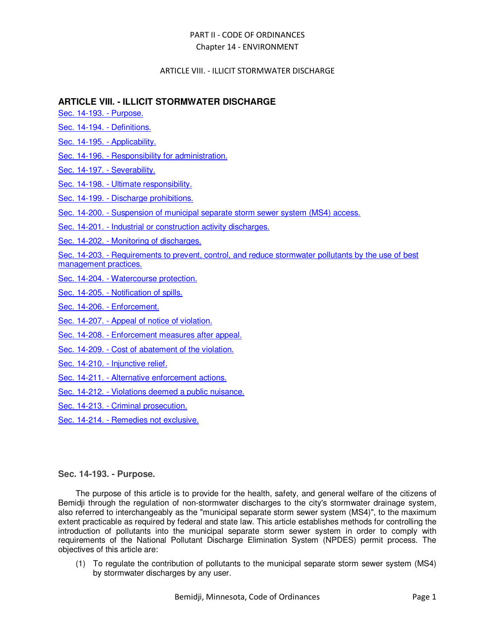# ARTICLE VIII. - ILLICIT STORMWATER DISCHARGE

# **ARTICLE VIII. - ILLICIT STORMWATER DISCHARGE**

Sec. 14-193. - Purpose.

- Sec. 14-194. Definitions.
- Sec. 14-195. Applicability.
- Sec. 14-196. Responsibility for administration.
- Sec. 14-197. Severability.
- Sec. 14-198. Ultimate responsibility.
- Sec. 14-199. Discharge prohibitions.
- Sec. 14-200. Suspension of municipal separate storm sewer system (MS4) access.
- Sec. 14-201. Industrial or construction activity discharges.
- Sec. 14-202. Monitoring of discharges.

Sec. 14-203. - Requirements to prevent, control, and reduce stormwater pollutants by the use of best management practices.

- Sec. 14-204. Watercourse protection.
- Sec. 14-205. Notification of spills.
- Sec. 14-206. Enforcement.
- Sec. 14-207. Appeal of notice of violation.
- Sec. 14-208. Enforcement measures after appeal.
- Sec. 14-209. Cost of abatement of the violation.
- Sec. 14-210. Injunctive relief.
- Sec. 14-211. Alternative enforcement actions.
- Sec. 14-212. Violations deemed a public nuisance.
- Sec. 14-213. Criminal prosecution.
- Sec. 14-214. Remedies not exclusive.

# **Sec. 14-193. - Purpose.**

The purpose of this article is to provide for the health, safety, and general welfare of the citizens of Bemidji through the regulation of non-stormwater discharges to the city's stormwater drainage system, also referred to interchangeably as the "municipal separate storm sewer system (MS4)", to the maximum extent practicable as required by federal and state law. This article establishes methods for controlling the introduction of pollutants into the municipal separate storm sewer system in order to comply with requirements of the National Pollutant Discharge Elimination System (NPDES) permit process. The objectives of this article are:

(1) To regulate the contribution of pollutants to the municipal separate storm sewer system (MS4) by stormwater discharges by any user.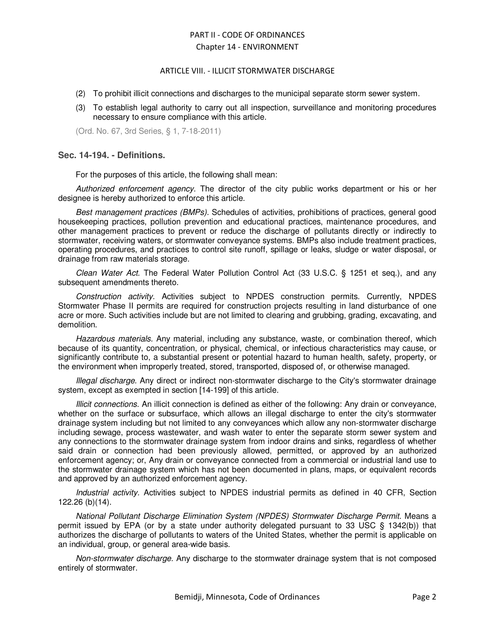# ARTICLE VIII. - ILLICIT STORMWATER DISCHARGE

- (2) To prohibit illicit connections and discharges to the municipal separate storm sewer system.
- (3) To establish legal authority to carry out all inspection, surveillance and monitoring procedures necessary to ensure compliance with this article.

(Ord. No. 67, 3rd Series, § 1, 7-18-2011)

# **Sec. 14-194. - Definitions.**

For the purposes of this article, the following shall mean:

Authorized enforcement agency. The director of the city public works department or his or her designee is hereby authorized to enforce this article.

Best management practices (BMPs). Schedules of activities, prohibitions of practices, general good housekeeping practices, pollution prevention and educational practices, maintenance procedures, and other management practices to prevent or reduce the discharge of pollutants directly or indirectly to stormwater, receiving waters, or stormwater conveyance systems. BMPs also include treatment practices, operating procedures, and practices to control site runoff, spillage or leaks, sludge or water disposal, or drainage from raw materials storage.

Clean Water Act. The Federal Water Pollution Control Act (33 U.S.C. § 1251 et seq.), and any subsequent amendments thereto.

Construction activity. Activities subject to NPDES construction permits. Currently, NPDES Stormwater Phase II permits are required for construction projects resulting in land disturbance of one acre or more. Such activities include but are not limited to clearing and grubbing, grading, excavating, and demolition.

Hazardous materials. Any material, including any substance, waste, or combination thereof, which because of its quantity, concentration, or physical, chemical, or infectious characteristics may cause, or significantly contribute to, a substantial present or potential hazard to human health, safety, property, or the environment when improperly treated, stored, transported, disposed of, or otherwise managed.

Illegal discharge. Any direct or indirect non-stormwater discharge to the City's stormwater drainage system, except as exempted in section [14-199] of this article.

Illicit connections. An illicit connection is defined as either of the following: Any drain or conveyance, whether on the surface or subsurface, which allows an illegal discharge to enter the city's stormwater drainage system including but not limited to any conveyances which allow any non-stormwater discharge including sewage, process wastewater, and wash water to enter the separate storm sewer system and any connections to the stormwater drainage system from indoor drains and sinks, regardless of whether said drain or connection had been previously allowed, permitted, or approved by an authorized enforcement agency; or, Any drain or conveyance connected from a commercial or industrial land use to the stormwater drainage system which has not been documented in plans, maps, or equivalent records and approved by an authorized enforcement agency.

Industrial activity. Activities subject to NPDES industrial permits as defined in 40 CFR, Section 122.26 (b)(14).

National Pollutant Discharge Elimination System (NPDES) Stormwater Discharge Permit. Means a permit issued by EPA (or by a state under authority delegated pursuant to 33 USC § 1342(b)) that authorizes the discharge of pollutants to waters of the United States, whether the permit is applicable on an individual, group, or general area-wide basis.

Non-stormwater discharge. Any discharge to the stormwater drainage system that is not composed entirely of stormwater.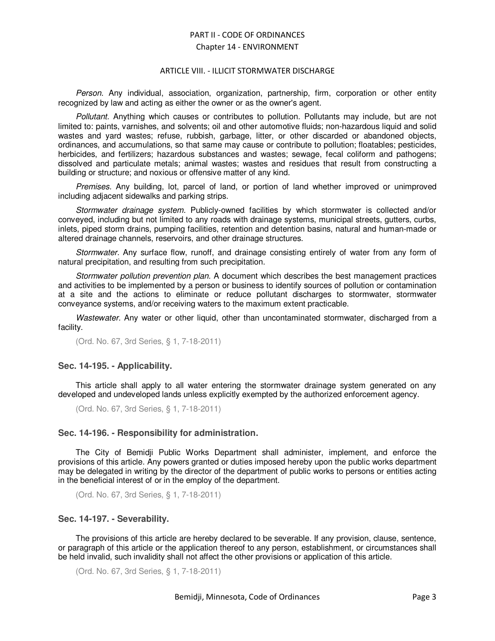#### ARTICLE VIII. - ILLICIT STORMWATER DISCHARGE

Person. Any individual, association, organization, partnership, firm, corporation or other entity recognized by law and acting as either the owner or as the owner's agent.

Pollutant. Anything which causes or contributes to pollution. Pollutants may include, but are not limited to: paints, varnishes, and solvents; oil and other automotive fluids; non-hazardous liquid and solid wastes and yard wastes; refuse, rubbish, garbage, litter, or other discarded or abandoned objects, ordinances, and accumulations, so that same may cause or contribute to pollution; floatables; pesticides, herbicides, and fertilizers; hazardous substances and wastes; sewage, fecal coliform and pathogens; dissolved and particulate metals; animal wastes; wastes and residues that result from constructing a building or structure; and noxious or offensive matter of any kind.

Premises. Any building, lot, parcel of land, or portion of land whether improved or unimproved including adjacent sidewalks and parking strips.

Stormwater drainage system. Publicly-owned facilities by which stormwater is collected and/or conveyed, including but not limited to any roads with drainage systems, municipal streets, gutters, curbs, inlets, piped storm drains, pumping facilities, retention and detention basins, natural and human-made or altered drainage channels, reservoirs, and other drainage structures.

Stormwater. Any surface flow, runoff, and drainage consisting entirely of water from any form of natural precipitation, and resulting from such precipitation.

Stormwater pollution prevention plan. A document which describes the best management practices and activities to be implemented by a person or business to identify sources of pollution or contamination at a site and the actions to eliminate or reduce pollutant discharges to stormwater, stormwater conveyance systems, and/or receiving waters to the maximum extent practicable.

Wastewater. Any water or other liquid, other than uncontaminated stormwater, discharged from a facility.

(Ord. No. 67, 3rd Series, § 1, 7-18-2011)

# **Sec. 14-195. - Applicability.**

This article shall apply to all water entering the stormwater drainage system generated on any developed and undeveloped lands unless explicitly exempted by the authorized enforcement agency.

(Ord. No. 67, 3rd Series, § 1, 7-18-2011)

# **Sec. 14-196. - Responsibility for administration.**

The City of Bemidji Public Works Department shall administer, implement, and enforce the provisions of this article. Any powers granted or duties imposed hereby upon the public works department may be delegated in writing by the director of the department of public works to persons or entities acting in the beneficial interest of or in the employ of the department.

(Ord. No. 67, 3rd Series, § 1, 7-18-2011)

# **Sec. 14-197. - Severability.**

The provisions of this article are hereby declared to be severable. If any provision, clause, sentence, or paragraph of this article or the application thereof to any person, establishment, or circumstances shall be held invalid, such invalidity shall not affect the other provisions or application of this article.

```
(Ord. No. 67, 3rd Series, § 1, 7-18-2011)
```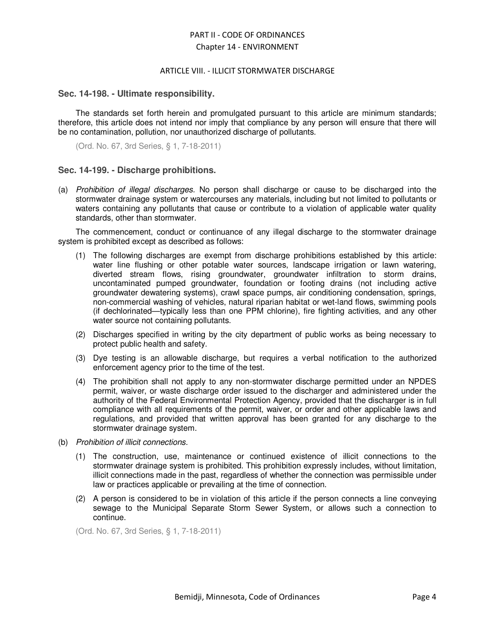#### ARTICLE VIII. - ILLICIT STORMWATER DISCHARGE

#### **Sec. 14-198. - Ultimate responsibility.**

The standards set forth herein and promulgated pursuant to this article are minimum standards; therefore, this article does not intend nor imply that compliance by any person will ensure that there will be no contamination, pollution, nor unauthorized discharge of pollutants.

(Ord. No. 67, 3rd Series, § 1, 7-18-2011)

# **Sec. 14-199. - Discharge prohibitions.**

(a) Prohibition of illegal discharges. No person shall discharge or cause to be discharged into the stormwater drainage system or watercourses any materials, including but not limited to pollutants or waters containing any pollutants that cause or contribute to a violation of applicable water quality standards, other than stormwater.

The commencement, conduct or continuance of any illegal discharge to the stormwater drainage system is prohibited except as described as follows:

- (1) The following discharges are exempt from discharge prohibitions established by this article: water line flushing or other potable water sources, landscape irrigation or lawn watering, diverted stream flows, rising groundwater, groundwater infiltration to storm drains, uncontaminated pumped groundwater, foundation or footing drains (not including active groundwater dewatering systems), crawl space pumps, air conditioning condensation, springs, non-commercial washing of vehicles, natural riparian habitat or wet-land flows, swimming pools (if dechlorinated—typically less than one PPM chlorine), fire fighting activities, and any other water source not containing pollutants.
- (2) Discharges specified in writing by the city department of public works as being necessary to protect public health and safety.
- (3) Dye testing is an allowable discharge, but requires a verbal notification to the authorized enforcement agency prior to the time of the test.
- (4) The prohibition shall not apply to any non-stormwater discharge permitted under an NPDES permit, waiver, or waste discharge order issued to the discharger and administered under the authority of the Federal Environmental Protection Agency, provided that the discharger is in full compliance with all requirements of the permit, waiver, or order and other applicable laws and regulations, and provided that written approval has been granted for any discharge to the stormwater drainage system.
- (b) Prohibition of illicit connections.
	- (1) The construction, use, maintenance or continued existence of illicit connections to the stormwater drainage system is prohibited. This prohibition expressly includes, without limitation, illicit connections made in the past, regardless of whether the connection was permissible under law or practices applicable or prevailing at the time of connection.
	- (2) A person is considered to be in violation of this article if the person connects a line conveying sewage to the Municipal Separate Storm Sewer System, or allows such a connection to continue.

(Ord. No. 67, 3rd Series, § 1, 7-18-2011)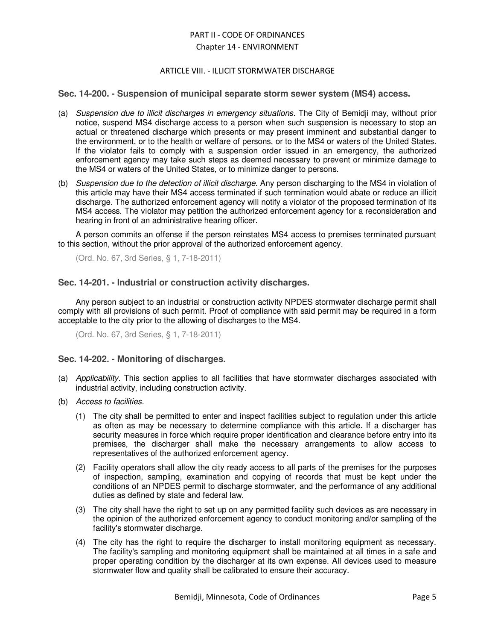# ARTICLE VIII. - ILLICIT STORMWATER DISCHARGE

# **Sec. 14-200. - Suspension of municipal separate storm sewer system (MS4) access.**

- (a) Suspension due to illicit discharges in emergency situations. The City of Bemidji may, without prior notice, suspend MS4 discharge access to a person when such suspension is necessary to stop an actual or threatened discharge which presents or may present imminent and substantial danger to the environment, or to the health or welfare of persons, or to the MS4 or waters of the United States. If the violator fails to comply with a suspension order issued in an emergency, the authorized enforcement agency may take such steps as deemed necessary to prevent or minimize damage to the MS4 or waters of the United States, or to minimize danger to persons.
- (b) Suspension due to the detection of illicit discharge. Any person discharging to the MS4 in violation of this article may have their MS4 access terminated if such termination would abate or reduce an illicit discharge. The authorized enforcement agency will notify a violator of the proposed termination of its MS4 access. The violator may petition the authorized enforcement agency for a reconsideration and hearing in front of an administrative hearing officer.

A person commits an offense if the person reinstates MS4 access to premises terminated pursuant to this section, without the prior approval of the authorized enforcement agency.

(Ord. No. 67, 3rd Series, § 1, 7-18-2011)

# **Sec. 14-201. - Industrial or construction activity discharges.**

Any person subject to an industrial or construction activity NPDES stormwater discharge permit shall comply with all provisions of such permit. Proof of compliance with said permit may be required in a form acceptable to the city prior to the allowing of discharges to the MS4.

(Ord. No. 67, 3rd Series, § 1, 7-18-2011)

# **Sec. 14-202. - Monitoring of discharges.**

- (a) Applicability. This section applies to all facilities that have stormwater discharges associated with industrial activity, including construction activity.
- (b) Access to facilities.
	- (1) The city shall be permitted to enter and inspect facilities subject to regulation under this article as often as may be necessary to determine compliance with this article. If a discharger has security measures in force which require proper identification and clearance before entry into its premises, the discharger shall make the necessary arrangements to allow access to representatives of the authorized enforcement agency.
	- (2) Facility operators shall allow the city ready access to all parts of the premises for the purposes of inspection, sampling, examination and copying of records that must be kept under the conditions of an NPDES permit to discharge stormwater, and the performance of any additional duties as defined by state and federal law.
	- (3) The city shall have the right to set up on any permitted facility such devices as are necessary in the opinion of the authorized enforcement agency to conduct monitoring and/or sampling of the facility's stormwater discharge.
	- (4) The city has the right to require the discharger to install monitoring equipment as necessary. The facility's sampling and monitoring equipment shall be maintained at all times in a safe and proper operating condition by the discharger at its own expense. All devices used to measure stormwater flow and quality shall be calibrated to ensure their accuracy.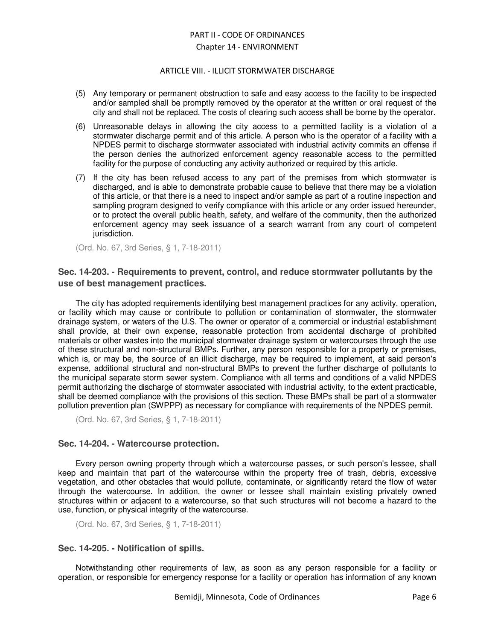#### ARTICLE VIII. - ILLICIT STORMWATER DISCHARGE

- (5) Any temporary or permanent obstruction to safe and easy access to the facility to be inspected and/or sampled shall be promptly removed by the operator at the written or oral request of the city and shall not be replaced. The costs of clearing such access shall be borne by the operator.
- (6) Unreasonable delays in allowing the city access to a permitted facility is a violation of a stormwater discharge permit and of this article. A person who is the operator of a facility with a NPDES permit to discharge stormwater associated with industrial activity commits an offense if the person denies the authorized enforcement agency reasonable access to the permitted facility for the purpose of conducting any activity authorized or required by this article.
- (7) If the city has been refused access to any part of the premises from which stormwater is discharged, and is able to demonstrate probable cause to believe that there may be a violation of this article, or that there is a need to inspect and/or sample as part of a routine inspection and sampling program designed to verify compliance with this article or any order issued hereunder, or to protect the overall public health, safety, and welfare of the community, then the authorized enforcement agency may seek issuance of a search warrant from any court of competent jurisdiction.

(Ord. No. 67, 3rd Series, § 1, 7-18-2011)

# **Sec. 14-203. - Requirements to prevent, control, and reduce stormwater pollutants by the use of best management practices.**

The city has adopted requirements identifying best management practices for any activity, operation, or facility which may cause or contribute to pollution or contamination of stormwater, the stormwater drainage system, or waters of the U.S. The owner or operator of a commercial or industrial establishment shall provide, at their own expense, reasonable protection from accidental discharge of prohibited materials or other wastes into the municipal stormwater drainage system or watercourses through the use of these structural and non-structural BMPs. Further, any person responsible for a property or premises, which is, or may be, the source of an illicit discharge, may be required to implement, at said person's expense, additional structural and non-structural BMPs to prevent the further discharge of pollutants to the municipal separate storm sewer system. Compliance with all terms and conditions of a valid NPDES permit authorizing the discharge of stormwater associated with industrial activity, to the extent practicable, shall be deemed compliance with the provisions of this section. These BMPs shall be part of a stormwater pollution prevention plan (SWPPP) as necessary for compliance with requirements of the NPDES permit.

(Ord. No. 67, 3rd Series, § 1, 7-18-2011)

# **Sec. 14-204. - Watercourse protection.**

Every person owning property through which a watercourse passes, or such person's lessee, shall keep and maintain that part of the watercourse within the property free of trash, debris, excessive vegetation, and other obstacles that would pollute, contaminate, or significantly retard the flow of water through the watercourse. In addition, the owner or lessee shall maintain existing privately owned structures within or adjacent to a watercourse, so that such structures will not become a hazard to the use, function, or physical integrity of the watercourse.

(Ord. No. 67, 3rd Series, § 1, 7-18-2011)

# **Sec. 14-205. - Notification of spills.**

Notwithstanding other requirements of law, as soon as any person responsible for a facility or operation, or responsible for emergency response for a facility or operation has information of any known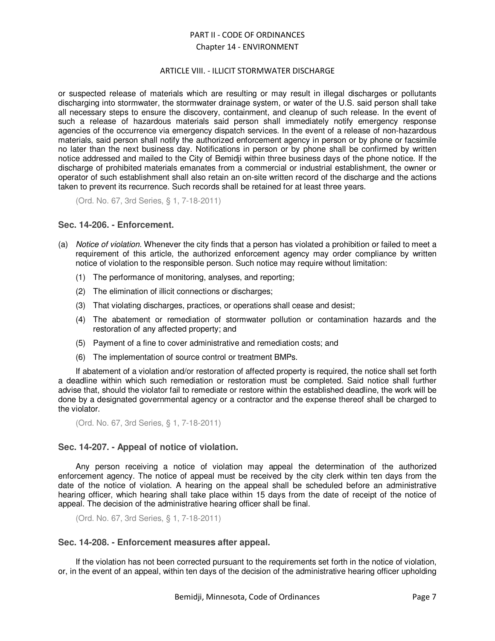# ARTICLE VIII. - ILLICIT STORMWATER DISCHARGE

or suspected release of materials which are resulting or may result in illegal discharges or pollutants discharging into stormwater, the stormwater drainage system, or water of the U.S. said person shall take all necessary steps to ensure the discovery, containment, and cleanup of such release. In the event of such a release of hazardous materials said person shall immediately notify emergency response agencies of the occurrence via emergency dispatch services. In the event of a release of non-hazardous materials, said person shall notify the authorized enforcement agency in person or by phone or facsimile no later than the next business day. Notifications in person or by phone shall be confirmed by written notice addressed and mailed to the City of Bemidji within three business days of the phone notice. If the discharge of prohibited materials emanates from a commercial or industrial establishment, the owner or operator of such establishment shall also retain an on-site written record of the discharge and the actions taken to prevent its recurrence. Such records shall be retained for at least three years.

(Ord. No. 67, 3rd Series, § 1, 7-18-2011)

# **Sec. 14-206. - Enforcement.**

- (a) Notice of violation. Whenever the city finds that a person has violated a prohibition or failed to meet a requirement of this article, the authorized enforcement agency may order compliance by written notice of violation to the responsible person. Such notice may require without limitation:
	- (1) The performance of monitoring, analyses, and reporting;
	- (2) The elimination of illicit connections or discharges;
	- (3) That violating discharges, practices, or operations shall cease and desist;
	- (4) The abatement or remediation of stormwater pollution or contamination hazards and the restoration of any affected property; and
	- (5) Payment of a fine to cover administrative and remediation costs; and
	- (6) The implementation of source control or treatment BMPs.

If abatement of a violation and/or restoration of affected property is required, the notice shall set forth a deadline within which such remediation or restoration must be completed. Said notice shall further advise that, should the violator fail to remediate or restore within the established deadline, the work will be done by a designated governmental agency or a contractor and the expense thereof shall be charged to the violator.

(Ord. No. 67, 3rd Series, § 1, 7-18-2011)

# **Sec. 14-207. - Appeal of notice of violation.**

Any person receiving a notice of violation may appeal the determination of the authorized enforcement agency. The notice of appeal must be received by the city clerk within ten days from the date of the notice of violation. A hearing on the appeal shall be scheduled before an administrative hearing officer, which hearing shall take place within 15 days from the date of receipt of the notice of appeal. The decision of the administrative hearing officer shall be final.

(Ord. No. 67, 3rd Series, § 1, 7-18-2011)

# **Sec. 14-208. - Enforcement measures after appeal.**

If the violation has not been corrected pursuant to the requirements set forth in the notice of violation, or, in the event of an appeal, within ten days of the decision of the administrative hearing officer upholding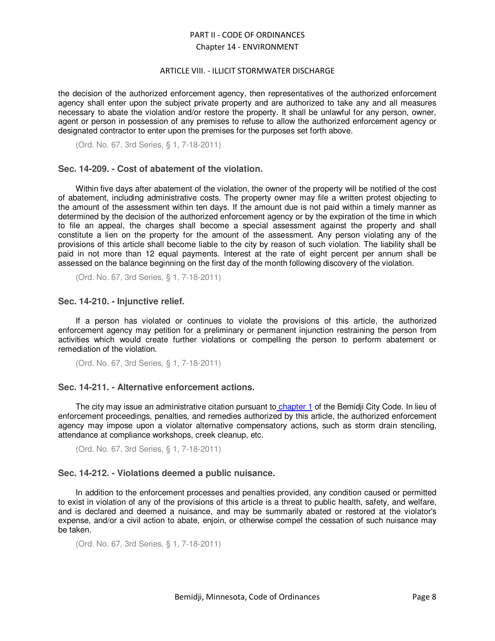#### ARTICLE VIII. - ILLICIT STORMWATER DISCHARGE

the decision of the authorized enforcement agency, then representatives of the authorized enforcement agency shall enter upon the subject private property and are authorized to take any and all measures necessary to abate the violation and/or restore the property. It shall be unlawful for any person, owner, agent or person in possession of any premises to refuse to allow the authorized enforcement agency or designated contractor to enter upon the premises for the purposes set forth above.

(Ord. No. 67, 3rd Series, § 1, 7-18-2011)

# **Sec. 14-209. - Cost of abatement of the violation.**

Within five days after abatement of the violation, the owner of the property will be notified of the cost of abatement, including administrative costs. The property owner may file a written protest objecting to the amount of the assessment within ten days. If the amount due is not paid within a timely manner as determined by the decision of the authorized enforcement agency or by the expiration of the time in which to file an appeal, the charges shall become a special assessment against the property and shall constitute a lien on the property for the amount of the assessment. Any person violating any of the provisions of this article shall become liable to the city by reason of such violation. The liability shall be paid in not more than 12 equal payments. Interest at the rate of eight percent per annum shall be assessed on the balance beginning on the first day of the month following discovery of the violation.

(Ord. No. 67, 3rd Series, § 1, 7-18-2011)

# **Sec. 14-210. - Injunctive relief.**

If a person has violated or continues to violate the provisions of this article, the authorized enforcement agency may petition for a preliminary or permanent injunction restraining the person from activities which would create further violations or compelling the person to perform abatement or remediation of the violation.

(Ord. No. 67, 3rd Series, § 1, 7-18-2011)

# **Sec. 14-211. - Alternative enforcement actions.**

The city may issue an administrative citation pursuant to chapter 1 of the Bemidji City Code. In lieu of enforcement proceedings, penalties, and remedies authorized by this article, the authorized enforcement agency may impose upon a violator alternative compensatory actions, such as storm drain stenciling, attendance at compliance workshops, creek cleanup, etc.

(Ord. No. 67, 3rd Series, § 1, 7-18-2011)

# **Sec. 14-212. - Violations deemed a public nuisance.**

In addition to the enforcement processes and penalties provided, any condition caused or permitted to exist in violation of any of the provisions of this article is a threat to public health, safety, and welfare, and is declared and deemed a nuisance, and may be summarily abated or restored at the violator's expense, and/or a civil action to abate, enjoin, or otherwise compel the cessation of such nuisance may be taken.

```
(Ord. No. 67, 3rd Series, § 1, 7-18-2011)
```